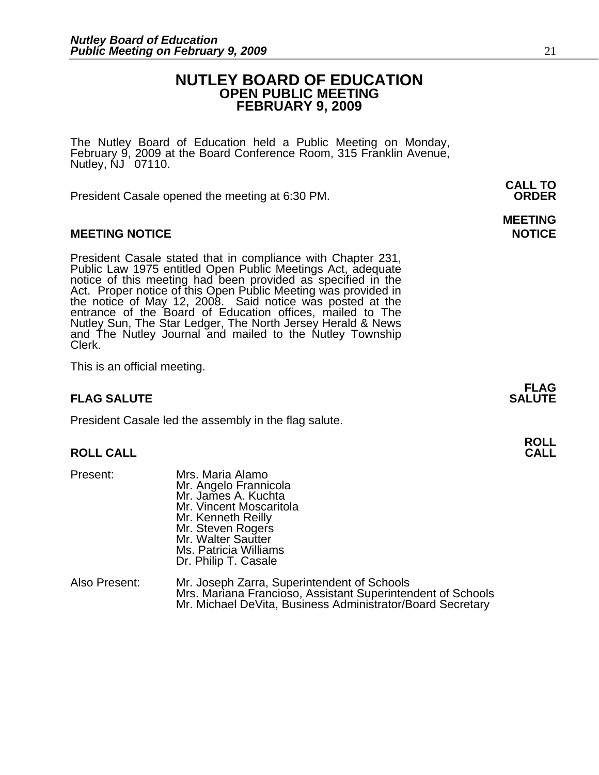# **NUTLEY BOARD OF EDUCATION OPEN PUBLIC MEETING FEBRUARY 9, 2009**

The Nutley Board of Education held a Public Meeting on Monday, February 9, 2009 at the Board Conference Room, 315 Franklin Avenue, Nutley, NJ 07110.

 **CALL TO**  President Casale opened the meeting at 6:30 PM. **ORDER**

# **MEETING NOTICE NOTICE AND RESERVE ASSESS**

President Casale stated that in compliance with Chapter 231, Public Law 1975 entitled Open Public Meetings Act, adequate notice of this meeting had been provided as specified in the Act. Proper notice of this Open Public M the notice of May 12, 2008. Said notice was posted at the entrance of the Board of Education offices, mailed to The Nutley Sun, The Star Ledger, The North Jersey Herald & News and The Nutley Journal and mailed to the Nutley Township Clerk.

This is an official meeting.

# **FLAG SALUTE** SALUTE SALUTE SALUTE SALUTE SALUTE

President Casale led the assembly in the flag salute.

# **ROLL ROLL CALL CALL**

- Present: Mrs. Maria Alamo Mr. Angelo Frannicola Mr. James A. Kuchta Mr. Vincent Moscaritola Mr. Kenneth Reilly Mr. Steven Rogers Mr. Walter Sautter Ms. Patricia Williams Dr. Philip T. Casale
- Also Present: Mr. Joseph Zarra, Superintendent of Schools Mrs. Mariana Francioso, Assistant Superintendent of Schools Mr. Michael DeVita, Business Administrator/Board Secretary

# **MEETING**

**FLAG**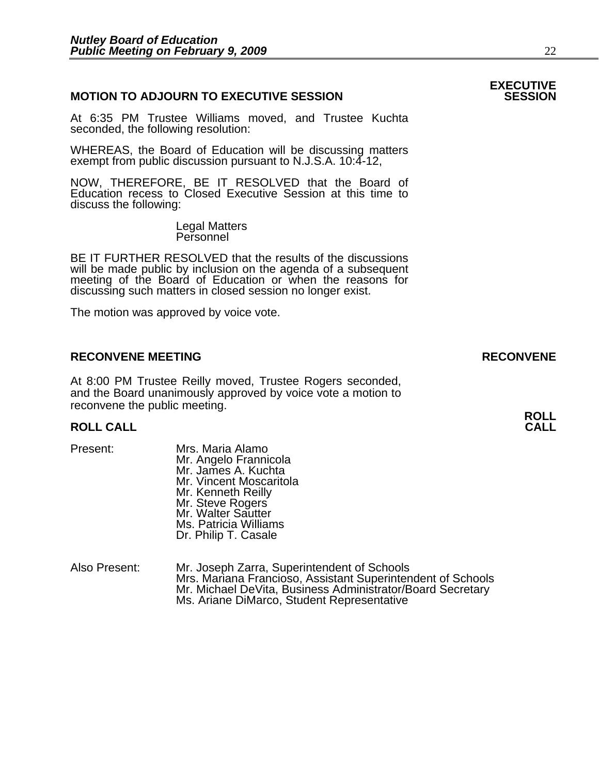# **MOTION TO ADJOURN TO EXECUTIVE SESSION**

At 6:35 PM Trustee Williams moved, and Trustee Kuchta seconded, the following resolution:

WHEREAS, the Board of Education will be discussing matters exempt from public discussion pursuant to N.J.S.A. 10:4-12,

NOW, THEREFORE, BE IT RESOLVED that the Board of Education recess to Closed Executive Session at this time to discuss the following:

> Legal Matters Personnel

BE IT FURTHER RESOLVED that the results of the discussions will be made public by inclusion on the agenda of a subsequent meeting of the Board of Education or when the reasons for discussing such matters in closed session no longer exist.

The motion was approved by voice vote.

### **RECONVENE MEETING RECONVENE**

At 8:00 PM Trustee Reilly moved, Trustee Rogers seconded, and the Board unanimously approved by voice vote a motion to reconvene the public meeting.

# **ROLL ROLL CALL CALL**

| Present: |
|----------|
|----------|

- Mrs. Maria Alamo Mr. Angelo Frannicola Mr. James A. Kuchta Mr. Vincent Moscaritola Mr. Kenneth Reilly Mr. Steve Rogers Mr. Walter Sautter Ms. Patricia Williams Dr. Philip T. Casale
- Also Present: Mr. Joseph Zarra, Superintendent of Schools Mrs. Mariana Francioso, Assistant Superintendent of Schools<br>Mr. Michael DeVita, Business Administrator/Board Secretary<br>Ms. Ariane DiMarco, Student Representative

# **EXECUTIVE**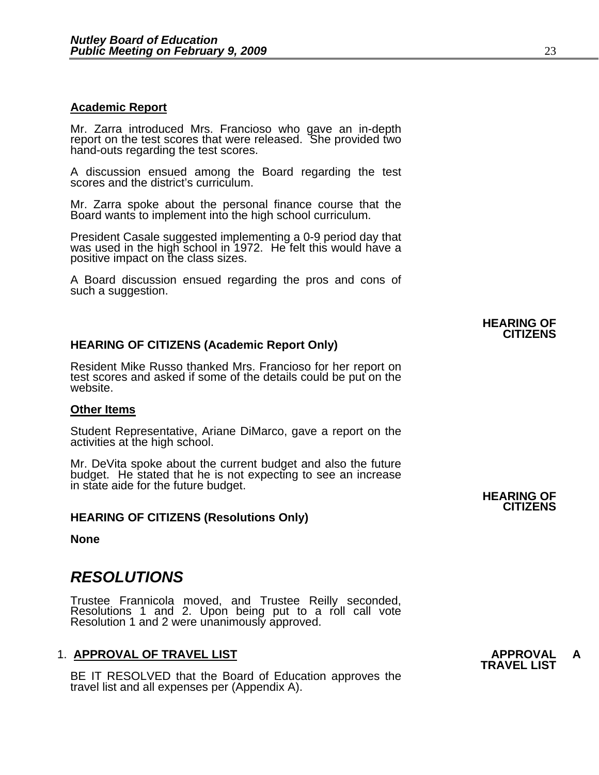### **Academic Report**

Mr. Zarra introduced Mrs. Francioso who gave an in-depth report on the test scores that were released. She provided two hand-outs regarding the test scores.

A discussion ensued among the Board regarding the test scores and the district's curriculum.

Mr. Zarra spoke about the personal finance course that the Board wants to implement into the high school curriculum.

President Casale suggested implementing a 0-9 period day that was used in the high school in 1972. He felt this would have a positive impact on the class sizes.

A Board discussion ensued regarding the pros and cons of such a suggestion.

# **HEARING OF CITIZENS (Academic Report Only)**

Resident Mike Russo thanked Mrs. Francioso for her report on test scores and asked if some of the details could be put on the website.

#### **Other Items**

Student Representative, Ariane DiMarco, gave a report on the activities at the high school.

Mr. DeVita spoke about the current budget and also the future<br>budget. He stated that he is not expecting to see an increase<br>in state aide for the future budget. **HEARING OF** 

#### **HEARING OF CITIZENS (Resolutions Only)**

**None** 

# *RESOLUTIONS*

Trustee Frannicola moved, and Trustee Reilly seconded, Resolutions 1 and 2. Upon being put to a roll call vote Resolution 1 and 2 were unanimously approved.

# 1. **APPROVAL OF TRAVEL LIST APPROVAL A TRAVEL LIST**

BE IT RESOLVED that the Board of Education approves the travel list and all expenses per (Appendix A).